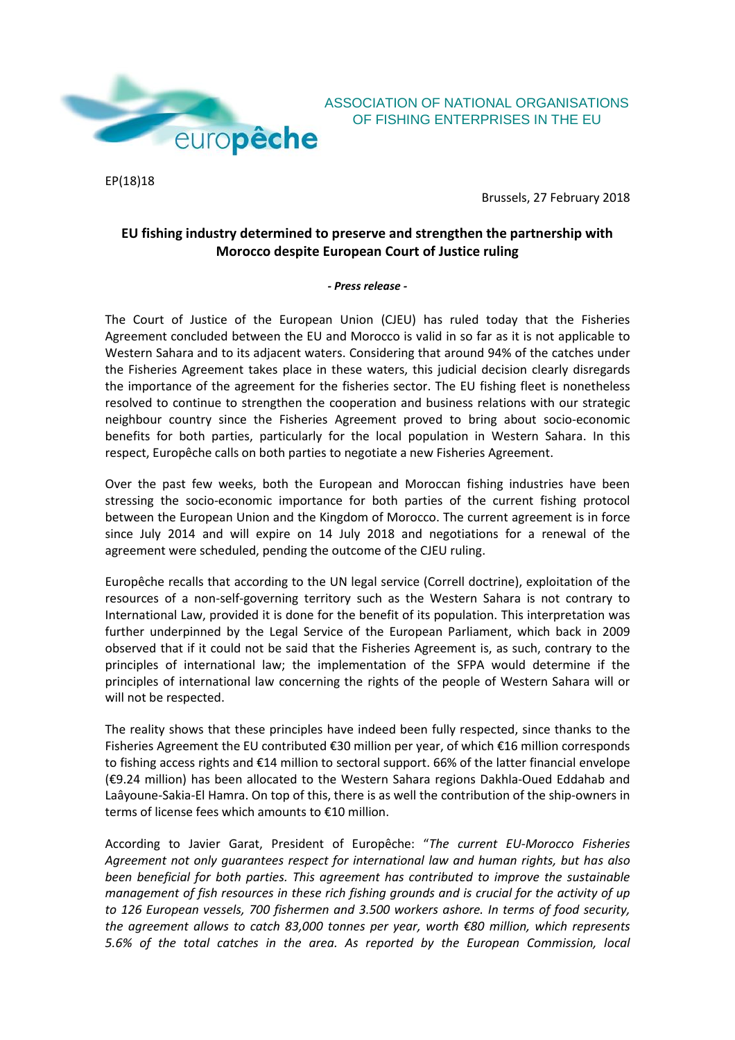

EP(18)18

Brussels, 27 February 2018

OF FISHING ENTERPRISES IN THE EU

## **EU fishing industry determined to preserve and strengthen the partnership with Morocco despite European Court of Justice ruling**

## *- Press release -*

The Court of Justice of the European Union (CJEU) has ruled today that the Fisheries Agreement concluded between the EU and Morocco is valid in so far as it is not applicable to Western Sahara and to its adjacent waters. Considering that around 94% of the catches under the Fisheries Agreement takes place in these waters, this judicial decision clearly disregards the importance of the agreement for the fisheries sector. The EU fishing fleet is nonetheless resolved to continue to strengthen the cooperation and business relations with our strategic neighbour country since the Fisheries Agreement proved to bring about socio-economic benefits for both parties, particularly for the local population in Western Sahara. In this respect, Europêche calls on both parties to negotiate a new Fisheries Agreement.

Over the past few weeks, both the European and Moroccan fishing industries have been stressing the socio-economic importance for both parties of the current fishing protocol between the European Union and the Kingdom of Morocco. The current agreement is in force since July 2014 and will expire on 14 July 2018 and negotiations for a renewal of the agreement were scheduled, pending the outcome of the CJEU ruling.

Europêche recalls that according to the UN legal service (Correll doctrine), exploitation of the resources of a non-self-governing territory such as the Western Sahara is not contrary to International Law, provided it is done for the benefit of its population. This interpretation was further underpinned by the Legal Service of the European Parliament, which back in 2009 observed that if it could not be said that the Fisheries Agreement is, as such, contrary to the principles of international law; the implementation of the SFPA would determine if the principles of international law concerning the rights of the people of Western Sahara will or will not be respected.

The reality shows that these principles have indeed been fully respected, since thanks to the Fisheries Agreement the EU contributed €30 million per year, of which €16 million corresponds to fishing access rights and €14 million to sectoral support. 66% of the latter financial envelope (€9.24 million) has been allocated to the Western Sahara regions Dakhla-Oued Eddahab and Laâyoune-Sakia-El Hamra. On top of this, there is as well the contribution of the ship-owners in terms of license fees which amounts to €10 million.

According to Javier Garat, President of Europêche: "*The current EU-Morocco Fisheries Agreement not only guarantees respect for international law and human rights, but has also been beneficial for both parties. This agreement has contributed to improve the sustainable management of fish resources in these rich fishing grounds and is crucial for the activity of up to 126 European vessels, 700 fishermen and 3.500 workers ashore. In terms of food security, the agreement allows to catch 83,000 tonnes per year, worth €80 million, which represents 5.6% of the total catches in the area. As reported by the European Commission, local*